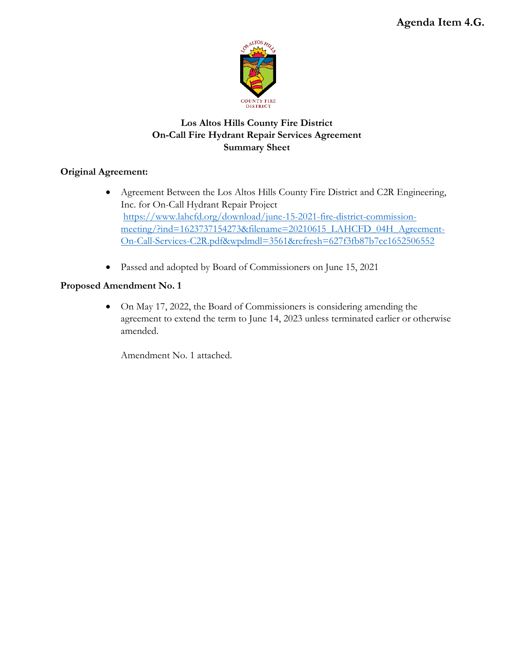

# **Los Altos Hills County Fire District On-Call Fire Hydrant Repair Services Agreement Summary Sheet**

## **Original Agreement:**

- Agreement Between the Los Altos Hills County Fire District and C2R Engineering, Inc. for On-Call Hydrant Repair Project [https://www.lahcfd.org/download/june-15-2021-fire-district-commission](https://www.lahcfd.org/download/june-15-2021-fire-district-commission-meeting/?ind=1623737154273&filename=20210615_LAHCFD_04H_Agreement-On-Call-Services-C2R.pdf&wpdmdl=3561&refresh=627f3fb87b7cc1652506552)[meeting/?ind=1623737154273&filename=20210615\\_LAHCFD\\_04H\\_Agreement-](https://www.lahcfd.org/download/june-15-2021-fire-district-commission-meeting/?ind=1623737154273&filename=20210615_LAHCFD_04H_Agreement-On-Call-Services-C2R.pdf&wpdmdl=3561&refresh=627f3fb87b7cc1652506552)[On-Call-Services-C2R.pdf&wpdmdl=3561&refresh=627f3fb87b7cc1652506552](https://www.lahcfd.org/download/june-15-2021-fire-district-commission-meeting/?ind=1623737154273&filename=20210615_LAHCFD_04H_Agreement-On-Call-Services-C2R.pdf&wpdmdl=3561&refresh=627f3fb87b7cc1652506552)
- Passed and adopted by Board of Commissioners on June 15, 2021

## **Proposed Amendment No. 1**

• On May 17, 2022, the Board of Commissioners is considering amending the agreement to extend the term to June 14, 2023 unless terminated earlier or otherwise amended.

Amendment No. 1 attached.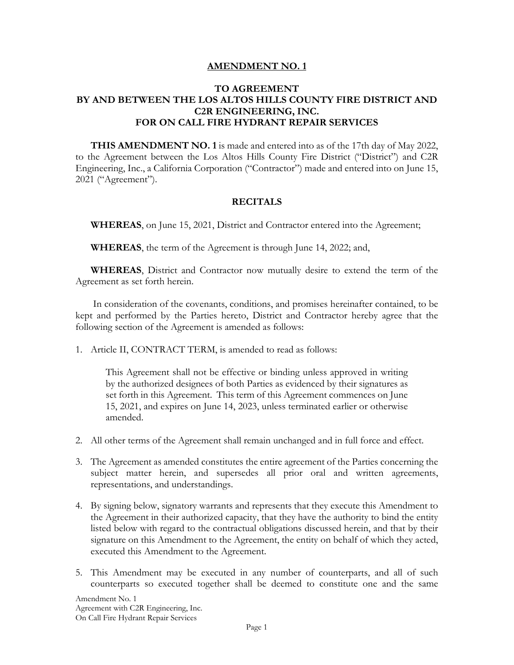### **AMENDMENT NO. 1**

## **TO AGREEMENT BY AND BETWEEN THE LOS ALTOS HILLS COUNTY FIRE DISTRICT AND C2R ENGINEERING, INC. FOR ON CALL FIRE HYDRANT REPAIR SERVICES**

**THIS AMENDMENT NO. 1** is made and entered into as of the 17th day of May 2022, to the Agreement between the Los Altos Hills County Fire District ("District") and C2R Engineering, Inc., a California Corporation ("Contractor") made and entered into on June 15, 2021 ("Agreement").

### **RECITALS**

**WHEREAS**, on June 15, 2021, District and Contractor entered into the Agreement;

**WHEREAS**, the term of the Agreement is through June 14, 2022; and,

**WHEREAS**, District and Contractor now mutually desire to extend the term of the Agreement as set forth herein.

In consideration of the covenants, conditions, and promises hereinafter contained, to be kept and performed by the Parties hereto, District and Contractor hereby agree that the following section of the Agreement is amended as follows:

1. Article II, CONTRACT TERM, is amended to read as follows:

This Agreement shall not be effective or binding unless approved in writing by the authorized designees of both Parties as evidenced by their signatures as set forth in this Agreement. This term of this Agreement commences on June 15, 2021, and expires on June 14, 2023, unless terminated earlier or otherwise amended.

- 2. All other terms of the Agreement shall remain unchanged and in full force and effect.
- 3. The Agreement as amended constitutes the entire agreement of the Parties concerning the subject matter herein, and supersedes all prior oral and written agreements, representations, and understandings.
- 4. By signing below, signatory warrants and represents that they execute this Amendment to the Agreement in their authorized capacity, that they have the authority to bind the entity listed below with regard to the contractual obligations discussed herein, and that by their signature on this Amendment to the Agreement, the entity on behalf of which they acted, executed this Amendment to the Agreement.
- 5. This Amendment may be executed in any number of counterparts, and all of such counterparts so executed together shall be deemed to constitute one and the same